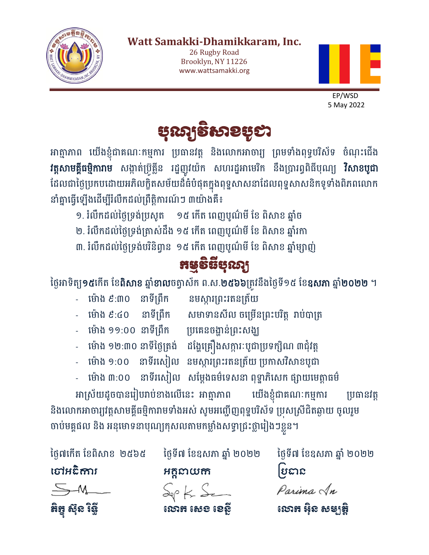

## **Watt Samakki-Dhamikkaram, Inc.**

26 Rugby Road Brooklyn, NY 11226 [www.wattsamakki.org](http://www.wattsamakki.org/)



 EP/WSD 5 May 2022



អាត្មាភាព យេងខ្ញុំជាគណៈកម្មការ ប្រធានវត្ត នងលោកអាចារ្យ ព្រមទាងពុទ្ធបរសទ ចណុះជេង **វត្តសាមគ្គធម្មការាម** សង្កាត់ប្រគ្លន រដ្ឋញូរយក សហរដ្ឋអាមេរក នងប្រារព្ធពធបុណ្យ **រសាខបូជា** ដែលជាថ្ងៃប្រកបដោយអភិលក្ខិតសម័យដ៏ធំបំផុតក្នុងពុទ្ធសាសនាដែលពុទ្ធសាសនិកទូទាំងពិភពលោក នាំគ្នាធ្វើឡើងដើម្បីរំលឹកដល់ព្រឹត្តិការណ៍ៗ ៣យ៉ាងគឺ៖

- ១. រំលឹកដល់ថ្ងៃទ្រង់ប្រសូត ១៥ កើត ពេញបូណ៌មី ខែ ពិសាខ ឆ្នាំច
- ២. រំលឹកដល់ថ្ងៃទ្រង់ត្រាស់ដឹង ១៥ កើត ពេញបូណ៌មី ខែ ពិសាខ ឆ្នាំរកា
- ៣. រំលឹកដល់ថ្ងៃទ្រង់បរិនិព្វាន ១៥ កើត ពេញបូណ៌មី ខែ ពិសាខ ឆ្នាំម្សាញ់



ថ្ងៃអាទិត្យ<mark>១៥</mark>កើត ខែ<mark>ពិសាខ</mark> ឆ្នាំ<mark>ខាល</mark>ចត្វាស័ក ព.ស.<mark>២៥៦៦</mark>ត្រូវនឹងថ្ងៃទី១៥ ខែ**ឧសភា** ឆ្នាំ**២០២២** ។

- ម៉ោង ៩:៣០ នាទីព្រឹក នមស្ការព្រះរតនត្រ័យ
- 
- ម៉ោង ៩:៤០ នាទីព្រឹក សមាទានសីល ចម្រើនព្រះបរិត្ត រាប់បាត្រ
	-
- ម៉ោង ១១:០០ នាទីព្រឹក ប្រគេនចង្ហាន់ព្រះសង្ឃ
- 
- ម៉ោង ១២:៣០ នាទីថ្ងៃត្រង់ ដង្ហែគ្រឿងសក្ការៈបូជាប្រទក្សិណ ៣ជុំវត្ត
- ម៉ោង ១:០០ នាទីរសៀល នមស្ការព្រះរតនត្រ័យ ប្រកាសវិសាខបូជា
- ម៉ោង ៣:០០ នាទីរសៀល សម្តែងធម៌ទេសនា ពុទ្ធាភិសេក ផ្សាយមេត្តាធម៌

អាស្រ័យដូចបានរៀបរាប់ខាងលើនេះ អាត្មាភាព យើងខ្ញុំជាគណៈកម្មការ ប្រធានវត្ត និងលោកអាចារ្យវត្តសាមគ្គីធម្មិការាមទាំងអស់ សូមអញ្ជើញពុទ្ឋបរិស័ទ ប្រុសស្រីជិតឆ្ងាយ ចូលរួម ចាប់មគ្គផល និង អនុមោទនាបុណ្យកុសលតាមកម្លាំងសទ្ធាជ្រះថ្លារៀងៗខ្លួន។





ថ្ងៃ៧កើត ខែពិសាខ ២៥៦៥ ថ្ងៃទី៧ ខែឧសភា ឆ្នាំ ២០២២ ថ្ងៃទី៧ ខែឧសភា ឆ្នាំ ២០២២

ចៅអធកាិ រ អគ្គនាយក ប្រធាន



Parima An

ភិក្ខុ ស៊ុន ខែនី បាន លោក សេខ ខេត្តិ លោក លោក អុិន សម្បត្តិ